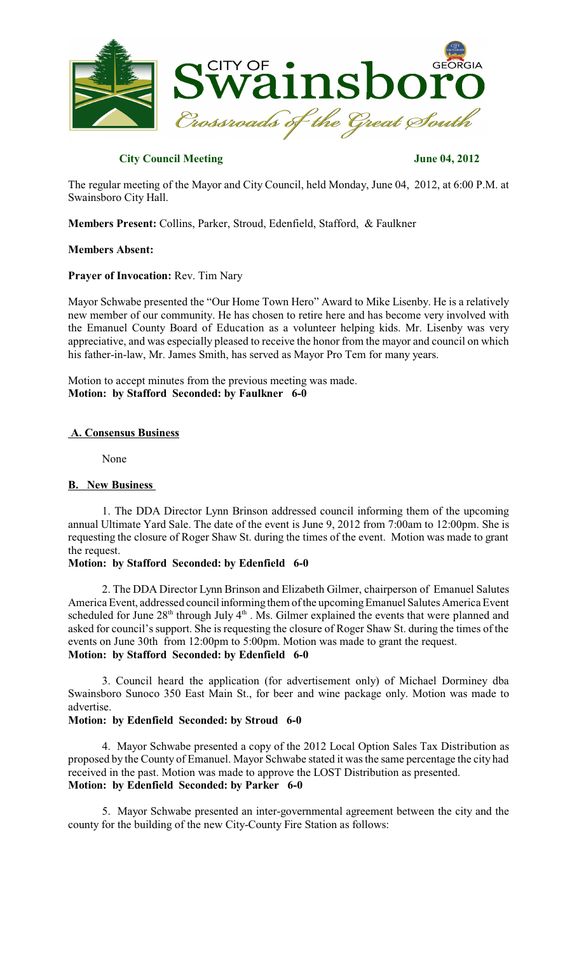

# **City Council Meeting June 04, 2012**

The regular meeting of the Mayor and City Council, held Monday, June 04, 2012, at 6:00 P.M. at Swainsboro City Hall.

**Members Present:** Collins, Parker, Stroud, Edenfield, Stafford, & Faulkner

## **Members Absent:**

## **Prayer of Invocation:** Rev. Tim Nary

Mayor Schwabe presented the "Our Home Town Hero" Award to Mike Lisenby. He is a relatively new member of our community. He has chosen to retire here and has become very involved with the Emanuel County Board of Education as a volunteer helping kids. Mr. Lisenby was very appreciative, and was especially pleased to receive the honor from the mayor and council on which his father-in-law, Mr. James Smith, has served as Mayor Pro Tem for many years.

Motion to accept minutes from the previous meeting was made. **Motion: by Stafford Seconded: by Faulkner 6-0**

## **A. Consensus Business**

None

# **B. New Business**

1. The DDA Director Lynn Brinson addressed council informing them of the upcoming annual Ultimate Yard Sale. The date of the event is June 9, 2012 from 7:00am to 12:00pm. She is requesting the closure of Roger Shaw St. during the times of the event. Motion was made to grant the request.

# **Motion: by Stafford Seconded: by Edenfield 6-0**

2. The DDA Director Lynn Brinson and Elizabeth Gilmer, chairperson of Emanuel Salutes America Event, addressed council informing them of the upcoming Emanuel Salutes America Event scheduled for June  $28<sup>th</sup>$  through July 4<sup>th</sup> . Ms. Gilmer explained the events that were planned and asked for council's support. She is requesting the closure of Roger Shaw St. during the times of the events on June 30th from 12:00pm to 5:00pm. Motion was made to grant the request. **Motion: by Stafford Seconded: by Edenfield 6-0**

3. Council heard the application (for advertisement only) of Michael Dorminey dba Swainsboro Sunoco 350 East Main St., for beer and wine package only. Motion was made to advertise.

## **Motion: by Edenfield Seconded: by Stroud 6-0**

4. Mayor Schwabe presented a copy of the 2012 Local Option Sales Tax Distribution as proposed by the County of Emanuel. Mayor Schwabe stated it wasthe same percentage the city had received in the past. Motion was made to approve the LOST Distribution as presented. **Motion: by Edenfield Seconded: by Parker 6-0**

5. Mayor Schwabe presented an inter-governmental agreement between the city and the county for the building of the new City-County Fire Station as follows: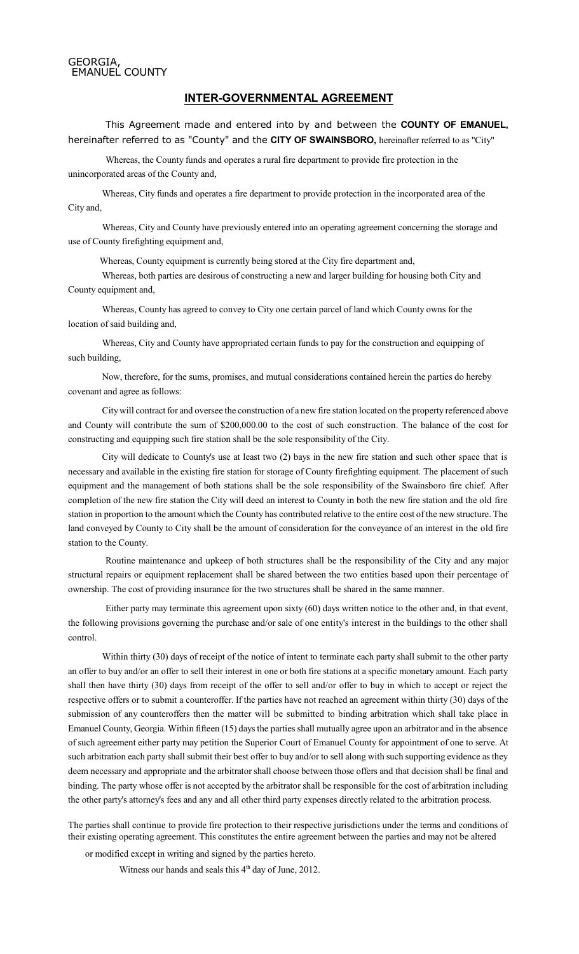#### GEORGIA, EMANUEL COUNTY

#### **INTER-GOVERNMENTAL AGREEMENT**

This Agreement made and entered into by and between the **COUNTY OF EMANUEL,** hereinafter referred to as "County" and the **CITY OF SWAINSBORO,** hereinafter referred to as "City"

Whereas, the County funds and operates a rural fire department to provide fire protection in the unincorporated areas of the County and,

Whereas, City funds and operates a fire department to provide protection in the incorporated area of the City and,

Whereas, City and County have previously entered into an operating agreement concerning the storage and use of County firefighting equipment and,

Whereas, County equipment is currently being stored at the City fire department and,

Whereas, both parties are desirous of constructing a new and larger building for housing both City and County equipment and,

Whereas, County has agreed to convey to City one certain parcel of land which County owns for the location of said building and,

Whereas, City and County have appropriated certain funds to pay for the construction and equipping of such building,

Now, therefore, for the sums, promises, and mutual considerations contained herein the parties do hereby covenant and agree as follows:

Citywill contract for and oversee the construction of a new fire station located on the property referenced above and County will contribute the sum of \$200,000.00 to the cost of such construction. The balance of the cost for constructing and equipping such fire station shall be the sole responsibility of the City.

City will dedicate to County's use at least two (2) bays in the new fire station and such other space that is necessary and available in the existing fire station for storage of County firefighting equipment. The placement of such equipment and the management of both stations shall be the sole responsibility of the Swainsboro fire chief. After completion of the new fire station the City will deed an interest to County in both the new fire station and the old fire station in proportion to the amount which the County has contributed relative to the entire cost of the new structure. The land conveyed by County to City shall be the amount of consideration for the conveyance of an interest in the old fire station to the County.

Routine maintenance and upkeep of both structures shall be the responsibility of the City and any major structural repairs or equipment replacement shall be shared between the two entities based upon their percentage of ownership. The cost of providing insurance for the two structures shall be shared in the same manner.

Either party may terminate this agreement upon sixty (60) days written notice to the other and, in that event, the following provisions governing the purchase and/or sale of one entity's interest in the buildings to the other shall control.

Within thirty (30) days of receipt of the notice of intent to terminate each party shall submit to the other party an offer to buy and/or an offer to sell their interest in one or both fire stations at a specific monetary amount. Each party shall then have thirty (30) days from receipt of the offer to sell and/or offer to buy in which to accept or reject the respective offers or to submit a counteroffer. If the parties have not reached an agreement within thirty (30) days of the submission of any counteroffers then the matter will be submitted to binding arbitration which shall take place in Emanuel County, Georgia. Within fifteen (15) daysthe parties shall mutually agree upon an arbitrator and in the absence of such agreement either party may petition the Superior Court of Emanuel County for appointment of one to serve. At such arbitration each party shall submit their best offer to buy and/or to sell along with such supporting evidence as they deem necessary and appropriate and the arbitrator shall choose between those offers and that decision shall be final and binding. The party whose offer is not accepted by the arbitrator shall be responsible for the cost of arbitration including the other party's attorney's fees and any and all other third party expenses directly related to the arbitration process.

The parties shall continue to provide fire protection to their respective jurisdictions under the terms and conditions of their existing operating agreement. This constitutes the entire agreement between the parties and may not be altered

or modified except in writing and signed by the parties hereto.

Witness our hands and seals this 4<sup>th</sup> day of June, 2012.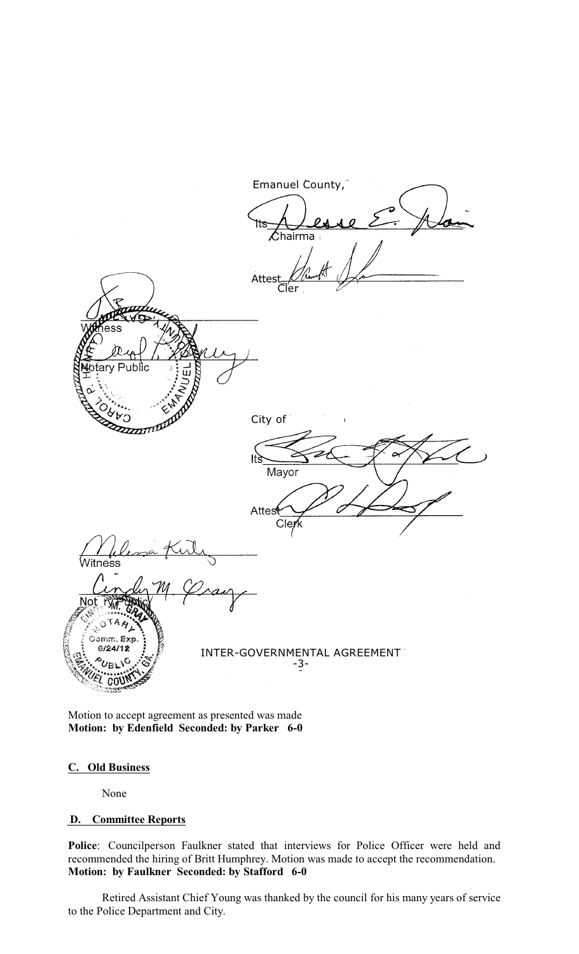

Motion to accept agreement as presented was made **Motion: by Edenfield Seconded: by Parker 6-0**

# **C. Old Business**

None

# **D. Committee Reports**

**Police**: Councilperson Faulkner stated that interviews for Police Officer were held and recommended the hiring of Britt Humphrey. Motion was made to accept the recommendation. **Motion: by Faulkner Seconded: by Stafford 6-0**

Retired Assistant Chief Young was thanked by the council for his many years of service to the Police Department and City.